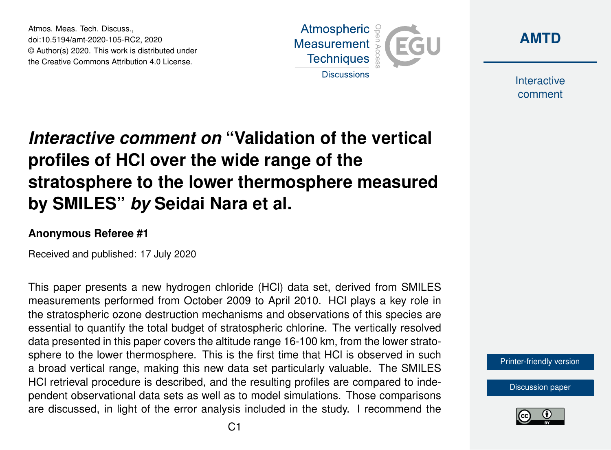Atmos. Meas. Tech. Discuss., doi:10.5194/amt-2020-105-RC2, 2020 © Author(s) 2020. This work is distributed under the Creative Commons Attribution 4.0 License.





Interactive comment

# *Interactive comment on* **"Validation of the vertical profiles of HCl over the wide range of the stratosphere to the lower thermosphere measured by SMILES"** *by* **Seidai Nara et al.**

#### **Anonymous Referee #1**

Received and published: 17 July 2020

This paper presents a new hydrogen chloride (HCl) data set, derived from SMILES measurements performed from October 2009 to April 2010. HCl plays a key role in the stratospheric ozone destruction mechanisms and observations of this species are essential to quantify the total budget of stratospheric chlorine. The vertically resolved data presented in this paper covers the altitude range 16-100 km, from the lower stratosphere to the lower thermosphere. This is the first time that HCl is observed in such a broad vertical range, making this new data set particularly valuable. The SMILES HCl retrieval procedure is described, and the resulting profiles are compared to independent observational data sets as well as to model simulations. Those comparisons are discussed, in light of the error analysis included in the study. I recommend the



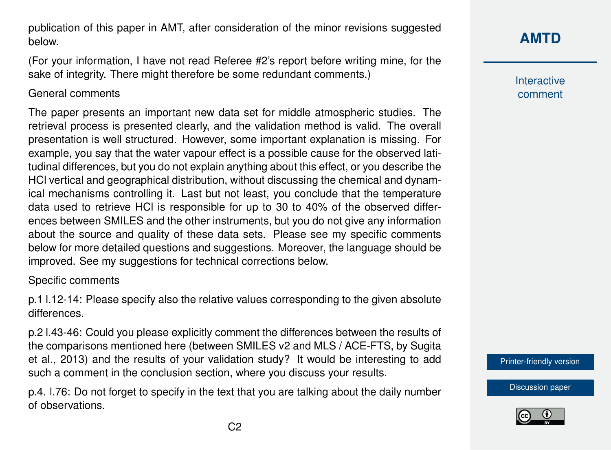publication of this paper in AMT, after consideration of the minor revisions suggested below.

(For your information, I have not read Referee #2's report before writing mine, for the sake of integrity. There might therefore be some redundant comments.)

### General comments

The paper presents an important new data set for middle atmospheric studies. The retrieval process is presented clearly, and the validation method is valid. The overall presentation is well structured. However, some important explanation is missing. For example, you say that the water vapour effect is a possible cause for the observed latitudinal differences, but you do not explain anything about this effect, or you describe the HCl vertical and geographical distribution, without discussing the chemical and dynamical mechanisms controlling it. Last but not least, you conclude that the temperature data used to retrieve HCl is responsible for up to 30 to 40% of the observed differences between SMILES and the other instruments, but you do not give any information about the source and quality of these data sets. Please see my specific comments below for more detailed questions and suggestions. Moreover, the language should be improved. See my suggestions for technical corrections below.

### Specific comments

p.1 l.12-14: Please specify also the relative values corresponding to the given absolute differences.

p.2 l.43-46: Could you please explicitly comment the differences between the results of the comparisons mentioned here (between SMILES v2 and MLS / ACE-FTS, by Sugita et al., 2013) and the results of your validation study? It would be interesting to add such a comment in the conclusion section, where you discuss your results.

p.4. l.76: Do not forget to specify in the text that you are talking about the daily number of observations.

Interactive comment

[Printer-friendly version](https://amt.copernicus.org/preprints/amt-2020-105/amt-2020-105-RC2-print.pdf)

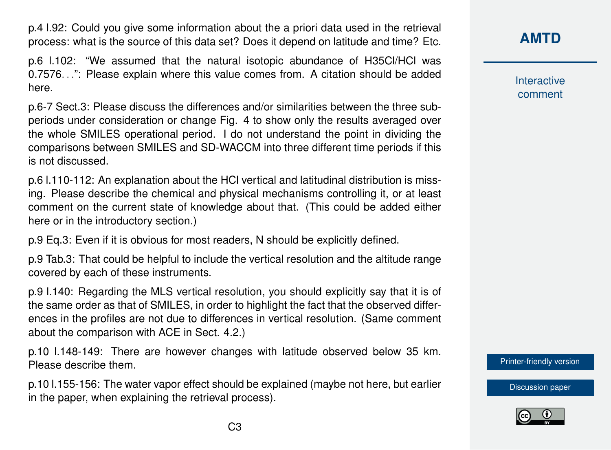p.4 l.92: Could you give some information about the a priori data used in the retrieval process: what is the source of this data set? Does it depend on latitude and time? Etc.

p.6 l.102: "We assumed that the natural isotopic abundance of H35Cl/HCl was 0.7576. . .": Please explain where this value comes from. A citation should be added here.

p.6-7 Sect.3: Please discuss the differences and/or similarities between the three subperiods under consideration or change Fig. 4 to show only the results averaged over the whole SMILES operational period. I do not understand the point in dividing the comparisons between SMILES and SD-WACCM into three different time periods if this is not discussed.

p.6 l.110-112: An explanation about the HCl vertical and latitudinal distribution is missing. Please describe the chemical and physical mechanisms controlling it, or at least comment on the current state of knowledge about that. (This could be added either here or in the introductory section.)

p.9 Eq.3: Even if it is obvious for most readers, N should be explicitly defined.

p.9 Tab.3: That could be helpful to include the vertical resolution and the altitude range covered by each of these instruments.

p.9 l.140: Regarding the MLS vertical resolution, you should explicitly say that it is of the same order as that of SMILES, in order to highlight the fact that the observed differences in the profiles are not due to differences in vertical resolution. (Same comment about the comparison with ACE in Sect. 4.2.)

p.10 l.148-149: There are however changes with latitude observed below 35 km. Please describe them.

p.10 l.155-156: The water vapor effect should be explained (maybe not here, but earlier in the paper, when explaining the retrieval process).

**[AMTD](https://amt.copernicus.org/preprints/)**

Interactive comment

[Printer-friendly version](https://amt.copernicus.org/preprints/amt-2020-105/amt-2020-105-RC2-print.pdf)

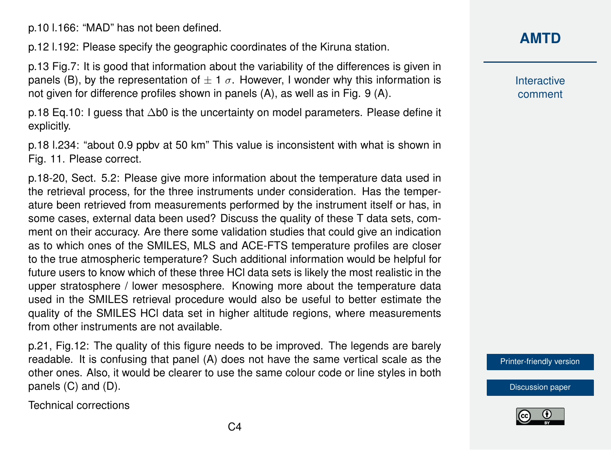p.10 l.166: "MAD" has not been defined.

p.12 l.192: Please specify the geographic coordinates of the Kiruna station.

p.13 Fig.7: It is good that information about the variability of the differences is given in panels (B), by the representation of  $\pm 1 \sigma$ . However, I wonder why this information is not given for difference profiles shown in panels (A), as well as in Fig. 9 (A).

p.18 Eq.10: I guess that ∆b0 is the uncertainty on model parameters. Please define it explicitly.

p.18 l.234: "about 0.9 ppbv at 50 km" This value is inconsistent with what is shown in Fig. 11. Please correct.

p.18-20, Sect. 5.2: Please give more information about the temperature data used in the retrieval process, for the three instruments under consideration. Has the temperature been retrieved from measurements performed by the instrument itself or has, in some cases, external data been used? Discuss the quality of these T data sets, comment on their accuracy. Are there some validation studies that could give an indication as to which ones of the SMILES, MLS and ACE-FTS temperature profiles are closer to the true atmospheric temperature? Such additional information would be helpful for future users to know which of these three HCl data sets is likely the most realistic in the upper stratosphere / lower mesosphere. Knowing more about the temperature data used in the SMILES retrieval procedure would also be useful to better estimate the quality of the SMILES HCl data set in higher altitude regions, where measurements from other instruments are not available.

p.21, Fig.12: The quality of this figure needs to be improved. The legends are barely readable. It is confusing that panel (A) does not have the same vertical scale as the other ones. Also, it would be clearer to use the same colour code or line styles in both panels (C) and (D).

Technical corrections

## **[AMTD](https://amt.copernicus.org/preprints/)**

Interactive comment

[Printer-friendly version](https://amt.copernicus.org/preprints/amt-2020-105/amt-2020-105-RC2-print.pdf)

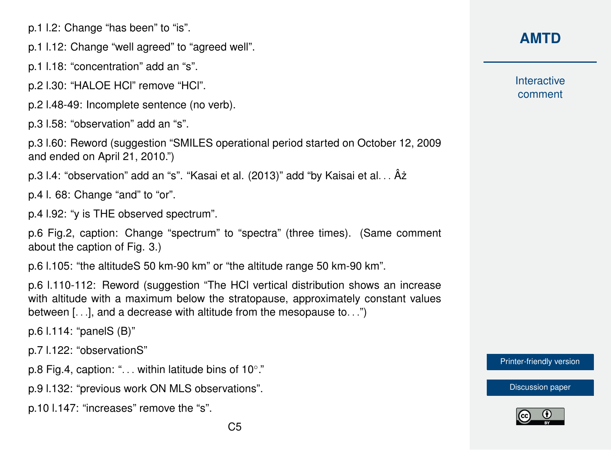p.1 l.2: Change "has been" to "is".

p.1 l.12: Change "well agreed" to "agreed well".

p.1 l.18: "concentration" add an "s".

p.2 l.30: "HALOE HCl" remove "HCl".

p.2 l.48-49: Incomplete sentence (no verb).

p.3 l.58: "observation" add an "s".

p.3 l.60: Reword (suggestion "SMILES operational period started on October 12, 2009 and ended on April 21, 2010.")

p.3 l.4: "observation" add an "s". "Kasai et al. (2013)" add "by Kaisai et al... Âz

p.4 l. 68: Change "and" to "or".

p.4 l.92: "y is THE observed spectrum".

p.6 Fig.2, caption: Change "spectrum" to "spectra" (three times). (Same comment about the caption of Fig. 3.)

p.6 l.105: "the altitudeS 50 km-90 km" or "the altitude range 50 km-90 km".

p.6 l.110-112: Reword (suggestion "The HCl vertical distribution shows an increase with altitude with a maximum below the stratopause, approximately constant values between [. . .], and a decrease with altitude from the mesopause to. . .")

p.6 l.114: "panelS (B)"

p.7 l.122: "observationS"

p.8 Fig.4, caption: ". . . within latitude bins of 10°."

p.9 l.132: "previous work ON MLS observations".

p.10 l.147: "increases" remove the "s".

## **[AMTD](https://amt.copernicus.org/preprints/)**

Interactive comment

[Printer-friendly version](https://amt.copernicus.org/preprints/amt-2020-105/amt-2020-105-RC2-print.pdf)

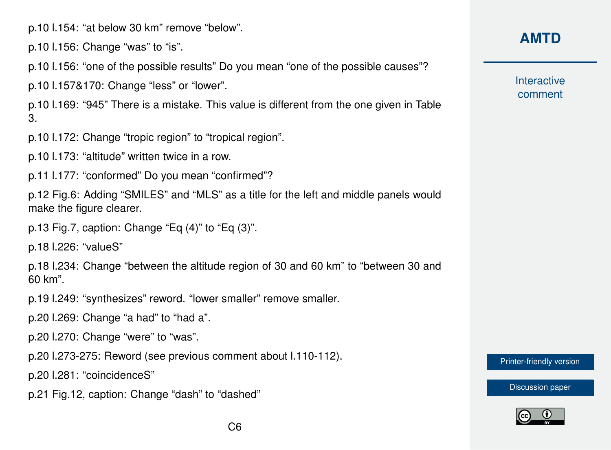p.10 l.154: "at below 30 km" remove "below".

p.10 l.156: Change "was" to "is".

p.10 l.156: "one of the possible results" Do you mean "one of the possible causes"?

p.10 l.157&170: Change "less" or "lower".

p.10 l.169: "945" There is a mistake. This value is different from the one given in Table 3.

p.10 l.172: Change "tropic region" to "tropical region".

p.10 l.173: "altitude" written twice in a row.

p.11 l.177: "conformed" Do you mean "confirmed"?

p.12 Fig.6: Adding "SMILES" and "MLS" as a title for the left and middle panels would make the figure clearer.

p.13 Fig.7, caption: Change "Eq (4)" to "Eq (3)".

p.18 l.226: "valueS"

p.18 l.234: Change "between the altitude region of 30 and 60 km" to "between 30 and 60 km".

p.19 l.249: "synthesizes" reword. "lower smaller" remove smaller.

p.20 l.269: Change "a had" to "had a".

p.20 l.270: Change "were" to "was".

p.20 l.273-275: Reword (see previous comment about l.110-112).

p.20 l.281: "coincidenceS"

p.21 Fig.12, caption: Change "dash" to "dashed"

**Interactive** comment

[Printer-friendly version](https://amt.copernicus.org/preprints/amt-2020-105/amt-2020-105-RC2-print.pdf)